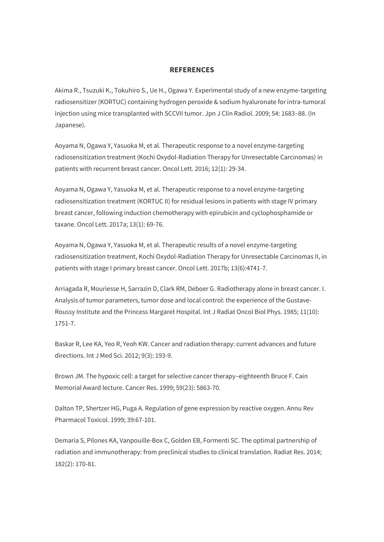## **REFERENCES**

Akima R., Tsuzuki K., Tokuhiro S., Ue H., Ogawa Y. Experimental study of a new enzyme-targeting radiosensitizer (KORTUC) containing hydrogen peroxide & sodium hyaluronate for intra-tumoral injection using mice transplanted with SCCVII tumor. Jpn J Clin Radiol. 2009; 54: 1683–88. (In Japanese).

Aoyama N, Ogawa Y, Yasuoka M, et al. Therapeutic response to a novel enzyme-targeting radiosensitization treatment (Kochi Oxydol-Radiation Therapy for Unresectable Carcinomas) in patients with recurrent breast cancer. Oncol Lett. 2016; 12(1): 29-34.

Aoyama N, Ogawa Y, Yasuoka M, et al. Therapeutic response to a novel enzyme-targeting radiosensitization treatment (KORTUC II) for residual lesions in patients with stage IV primary breast cancer, following induction chemotherapy with epirubicin and cyclophosphamide or taxane. Oncol Lett. 2017a; 13(1): 69-76.

Aoyama N, Ogawa Y, Yasuoka M, et al. Therapeutic results of a novel enzyme-targeting radiosensitization treatment, Kochi Oxydol-Radiation Therapy for Unresectable Carcinomas II, in patients with stage I primary breast cancer. Oncol Lett. 2017b; 13(6):4741-7.

Arriagada R, Mouriesse H, Sarrazin D, Clark RM, Deboer G. Radiotherapy alone in breast cancer. I. Analysis of tumor parameters, tumor dose and local control: the experience of the Gustave-Roussy Institute and the Princess Margaret Hospital. Int J Radiat Oncol Biol Phys. 1985; 11(10): 1751-7.

Baskar R, Lee KA, Yeo R, Yeoh KW. Cancer and radiation therapy: current advances and future directions. Int J Med Sci. 2012; 9(3): 193-9.

Brown JM. The hypoxic cell: a target for selective cancer therapy–eighteenth Bruce F. Cain Memorial Award lecture. Cancer Res. 1999; 59(23): 5863-70.

Dalton TP, Shertzer HG, Puga A. Regulation of gene expression by reactive oxygen. Annu Rev Pharmacol Toxicol. 1999; 39:67-101.

Demaria S, Pilones KA, Vanpouille-Box C, Golden EB, Formenti SC. The optimal partnership of radiation and immunotherapy: from preclinical studies to clinical translation. Radiat Res. 2014; 182(2): 170-81.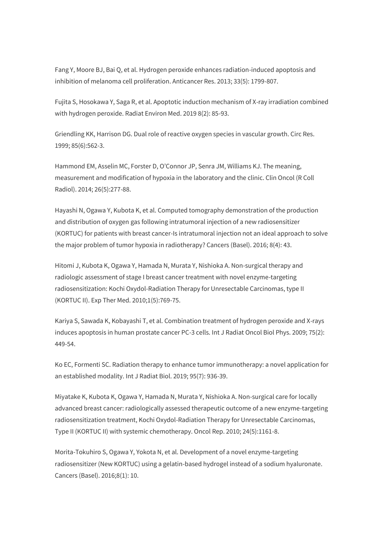Fang Y, Moore BJ, Bai Q, et al. Hydrogen peroxide enhances radiation-induced apoptosis and inhibition of melanoma cell proliferation. Anticancer Res. 2013; 33(5): 1799-807.

Fujita S, Hosokawa Y, Saga R, et al. Apoptotic induction mechanism of X-ray irradiation combined with hydrogen peroxide. Radiat Environ Med. 2019 8(2): 85-93.

Griendling KK, Harrison DG. Dual role of reactive oxygen species in vascular growth. Circ Res. 1999; 85(6):562-3.

Hammond EM, Asselin MC, Forster D, O'Connor JP, Senra JM, Williams KJ. The meaning, measurement and modification of hypoxia in the laboratory and the clinic. Clin Oncol (R Coll Radiol). 2014; 26(5):277-88.

Hayashi N, Ogawa Y, Kubota K, et al. Computed tomography demonstration of the production and distribution of oxygen gas following intratumoral injection of a new radiosensitizer (KORTUC) for patients with breast cancer-Is intratumoral injection not an ideal approach to solve the major problem of tumor hypoxia in radiotherapy? Cancers (Basel). 2016; 8(4): 43.

Hitomi J, Kubota K, Ogawa Y, Hamada N, Murata Y, Nishioka A. Non-surgical therapy and radiologic assessment of stage I breast cancer treatment with novel enzyme-targeting radiosensitization: Kochi Oxydol-Radiation Therapy for Unresectable Carcinomas, type II (KORTUC II). Exp Ther Med. 2010;1(5):769-75.

Kariya S, Sawada K, Kobayashi T, et al. Combination treatment of hydrogen peroxide and X-rays induces apoptosis in human prostate cancer PC-3 cells. Int J Radiat Oncol Biol Phys. 2009; 75(2): 449-54.

Ko EC, Formenti SC. Radiation therapy to enhance tumor immunotherapy: a novel application for an established modality. Int J Radiat Biol. 2019; 95(7): 936-39.

Miyatake K, Kubota K, Ogawa Y, Hamada N, Murata Y, Nishioka A. Non-surgical care for locally advanced breast cancer: radiologically assessed therapeutic outcome of a new enzyme-targeting radiosensitization treatment, Kochi Oxydol-Radiation Therapy for Unresectable Carcinomas, Type II (KORTUC II) with systemic chemotherapy. Oncol Rep. 2010; 24(5):1161-8.

Morita-Tokuhiro S, Ogawa Y, Yokota N, et al. Development of a novel enzyme-targeting radiosensitizer (New KORTUC) using a gelatin-based hydrogel instead of a sodium hyaluronate. Cancers (Basel). 2016;8(1): 10.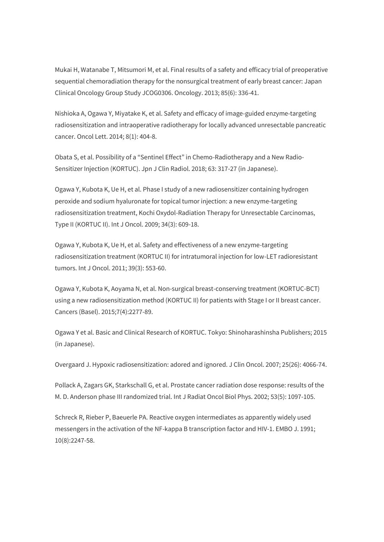Mukai H, Watanabe T, Mitsumori M, et al. Final results of a safety and efficacy trial of preoperative sequential chemoradiation therapy for the nonsurgical treatment of early breast cancer: Japan Clinical Oncology Group Study JCOG0306. Oncology. 2013; 85(6): 336-41.

Nishioka A, Ogawa Y, Miyatake K, et al. Safety and efficacy of image-guided enzyme-targeting radiosensitization and intraoperative radiotherapy for locally advanced unresectable pancreatic cancer. Oncol Lett. 2014; 8(1): 404-8.

Obata S, et al. Possibility of a "Sentinel Effect" in Chemo-Radiotherapy and a New Radio-Sensitizer Injection (KORTUC). Jpn J Clin Radiol. 2018; 63: 317-27 (in Japanese).

Ogawa Y, Kubota K, Ue H, et al. Phase I study of a new radiosensitizer containing hydrogen peroxide and sodium hyaluronate for topical tumor injection: a new enzyme-targeting radiosensitization treatment, Kochi Oxydol-Radiation Therapy for Unresectable Carcinomas, Type II (KORTUC II). Int J Oncol. 2009; 34(3): 609-18.

Ogawa Y, Kubota K, Ue H, et al. Safety and effectiveness of a new enzyme-targeting radiosensitization treatment (KORTUC II) for intratumoral injection for low-LET radioresistant tumors. Int J Oncol. 2011; 39(3): 553-60.

Ogawa Y, Kubota K, Aoyama N, et al. Non-surgical breast-conserving treatment (KORTUC-BCT) using a new radiosensitization method (KORTUC II) for patients with Stage I or II breast cancer. Cancers (Basel). 2015;7(4):2277-89.

Ogawa Y et al. Basic and Clinical Research of KORTUC. Tokyo: Shinoharashinsha Publishers; 2015 (in Japanese).

Overgaard J. Hypoxic radiosensitization: adored and ignored. J Clin Oncol. 2007; 25(26): 4066-74.

Pollack A, Zagars GK, Starkschall G, et al. Prostate cancer radiation dose response: results of the M. D. Anderson phase III randomized trial. Int J Radiat Oncol Biol Phys. 2002; 53(5): 1097-105.

Schreck R, Rieber P, Baeuerle PA. Reactive oxygen intermediates as apparently widely used messengers in the activation of the NF-kappa B transcription factor and HIV-1. EMBO J. 1991; 10(8):2247-58.